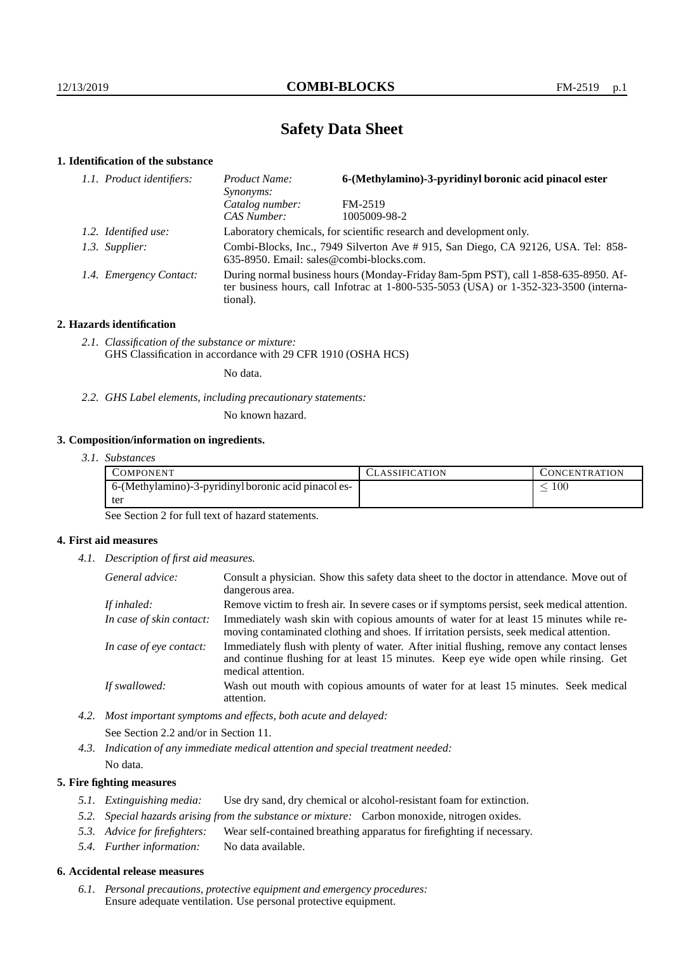# **Safety Data Sheet**

# **1. Identification of the substance**

| 1.1. Product identifiers: | 6-(Methylamino)-3-pyridinyl boronic acid pinacol ester<br>Product Name:<br><i>Synonyms:</i>                                                                                                 |              |  |
|---------------------------|---------------------------------------------------------------------------------------------------------------------------------------------------------------------------------------------|--------------|--|
|                           | Catalog number:                                                                                                                                                                             | FM-2519      |  |
|                           | CAS Number:                                                                                                                                                                                 | 1005009-98-2 |  |
| 1.2. Identified use:      | Laboratory chemicals, for scientific research and development only.                                                                                                                         |              |  |
| 1.3. Supplier:            | Combi-Blocks, Inc., 7949 Silverton Ave # 915, San Diego, CA 92126, USA. Tel: 858-<br>635-8950. Email: sales@combi-blocks.com.                                                               |              |  |
| 1.4. Emergency Contact:   | During normal business hours (Monday-Friday 8am-5pm PST), call 1-858-635-8950. Af-<br>ter business hours, call Infotrac at $1-800-535-5053$ (USA) or $1-352-323-3500$ (interna-<br>tional). |              |  |

### **2. Hazards identification**

*2.1. Classification of the substance or mixture:* GHS Classification in accordance with 29 CFR 1910 (OSHA HCS)

No data.

*2.2. GHS Label elements, including precautionary statements:*

No known hazard.

## **3. Composition/information on ingredients.**

| 3.1. Substances |  |
|-----------------|--|
|                 |  |

| COMPONENT                                            | <b>ASSIFICATION</b> | CONCENTRATION. |
|------------------------------------------------------|---------------------|----------------|
| 6-(Methylamino)-3-pyridinyl boronic acid pinacol es- |                     | 00ء            |
| tei                                                  |                     |                |

See Section 2 for full text of hazard statements.

## **4. First aid measures**

*4.1. Description of first aid measures.*

| General advice:          | Consult a physician. Show this safety data sheet to the doctor in attendance. Move out of<br>dangerous area.                                                                                            |
|--------------------------|---------------------------------------------------------------------------------------------------------------------------------------------------------------------------------------------------------|
| If inhaled:              | Remove victim to fresh air. In severe cases or if symptoms persist, seek medical attention.                                                                                                             |
| In case of skin contact: | Immediately wash skin with copious amounts of water for at least 15 minutes while re-<br>moving contaminated clothing and shoes. If irritation persists, seek medical attention.                        |
| In case of eye contact:  | Immediately flush with plenty of water. After initial flushing, remove any contact lenses<br>and continue flushing for at least 15 minutes. Keep eye wide open while rinsing. Get<br>medical attention. |
| If swallowed:            | Wash out mouth with copious amounts of water for at least 15 minutes. Seek medical<br>attention.                                                                                                        |

*4.2. Most important symptoms and effects, both acute and delayed:*

See Section 2.2 and/or in Section 11.

*4.3. Indication of any immediate medical attention and special treatment needed:*

# No data.

## **5. Fire fighting measures**

- *5.1. Extinguishing media:* Use dry sand, dry chemical or alcohol-resistant foam for extinction.
- *5.2. Special hazards arising from the substance or mixture:* Carbon monoxide, nitrogen oxides.
- *5.3. Advice for firefighters:* Wear self-contained breathing apparatus for firefighting if necessary.
- *5.4. Further information:* No data available.

## **6. Accidental release measures**

*6.1. Personal precautions, protective equipment and emergency procedures:* Ensure adequate ventilation. Use personal protective equipment.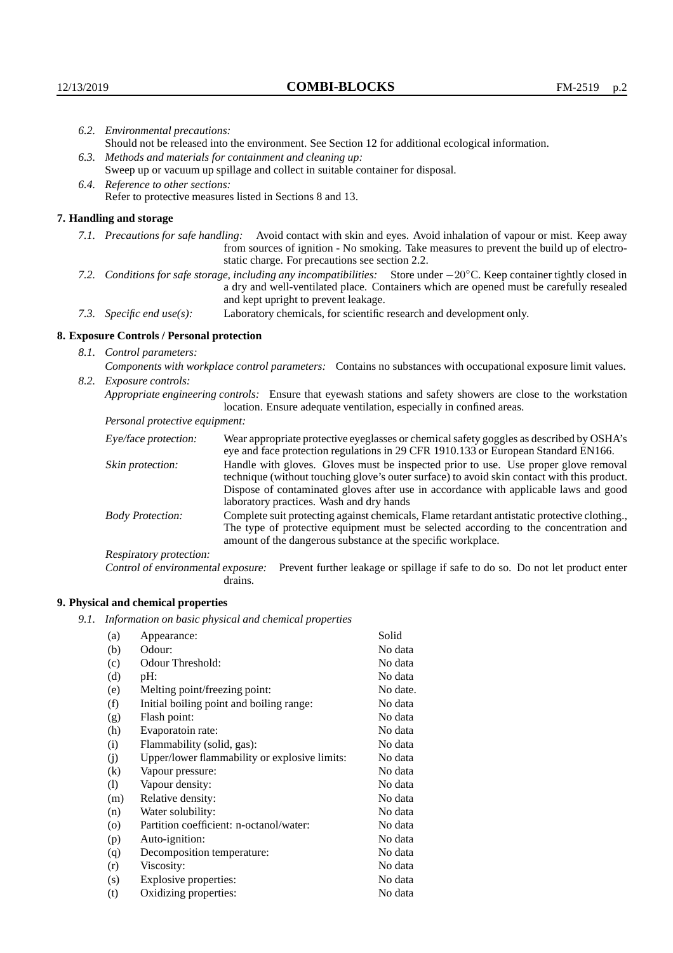|                                                             | 6.2. Environmental precautions:                                                                                                                                                                                                                                     |                                                                                                                                                                                                                                                                            |  |  |
|-------------------------------------------------------------|---------------------------------------------------------------------------------------------------------------------------------------------------------------------------------------------------------------------------------------------------------------------|----------------------------------------------------------------------------------------------------------------------------------------------------------------------------------------------------------------------------------------------------------------------------|--|--|
|                                                             |                                                                                                                                                                                                                                                                     | Should not be released into the environment. See Section 12 for additional ecological information.                                                                                                                                                                         |  |  |
| 6.3. Methods and materials for containment and cleaning up: |                                                                                                                                                                                                                                                                     |                                                                                                                                                                                                                                                                            |  |  |
|                                                             |                                                                                                                                                                                                                                                                     | Sweep up or vacuum up spillage and collect in suitable container for disposal.                                                                                                                                                                                             |  |  |
|                                                             | 6.4. Reference to other sections:                                                                                                                                                                                                                                   |                                                                                                                                                                                                                                                                            |  |  |
|                                                             |                                                                                                                                                                                                                                                                     | Refer to protective measures listed in Sections 8 and 13.                                                                                                                                                                                                                  |  |  |
|                                                             | 7. Handling and storage                                                                                                                                                                                                                                             |                                                                                                                                                                                                                                                                            |  |  |
|                                                             |                                                                                                                                                                                                                                                                     | 7.1. Precautions for safe handling: Avoid contact with skin and eyes. Avoid inhalation of vapour or mist. Keep away<br>from sources of ignition - No smoking. Take measures to prevent the build up of electro-<br>static charge. For precautions see section 2.2.         |  |  |
|                                                             | 7.2. Conditions for safe storage, including any incompatibilities: Store under $-20^{\circ}$ C. Keep container tightly closed in<br>a dry and well-ventilated place. Containers which are opened must be carefully resealed<br>and kept upright to prevent leakage. |                                                                                                                                                                                                                                                                            |  |  |
|                                                             | Laboratory chemicals, for scientific research and development only.<br>7.3. Specific end use(s):                                                                                                                                                                    |                                                                                                                                                                                                                                                                            |  |  |
|                                                             | 8. Exposure Controls / Personal protection                                                                                                                                                                                                                          |                                                                                                                                                                                                                                                                            |  |  |
|                                                             | 8.1. Control parameters:                                                                                                                                                                                                                                            |                                                                                                                                                                                                                                                                            |  |  |
|                                                             |                                                                                                                                                                                                                                                                     | Components with workplace control parameters: Contains no substances with occupational exposure limit values.                                                                                                                                                              |  |  |
|                                                             | 8.2. Exposure controls:                                                                                                                                                                                                                                             |                                                                                                                                                                                                                                                                            |  |  |
|                                                             |                                                                                                                                                                                                                                                                     | Appropriate engineering controls: Ensure that eyewash stations and safety showers are close to the workstation<br>location. Ensure adequate ventilation, especially in confined areas.                                                                                     |  |  |
|                                                             | Personal protective equipment:                                                                                                                                                                                                                                      |                                                                                                                                                                                                                                                                            |  |  |
|                                                             | Eye/face protection:                                                                                                                                                                                                                                                | Wear appropriate protective eyeglasses or chemical safety goggles as described by OSHA's<br>eye and face protection regulations in 29 CFR 1910.133 or European Standard EN166.                                                                                             |  |  |
|                                                             | Skin protection:                                                                                                                                                                                                                                                    | Handle with gloves. Gloves must be inspected prior to use. Use proper glove removal<br>technique (without touching glove's outer surface) to avoid skin contact with this product.<br>Dispose of contaminated gloves after use in accordance with applicable laws and good |  |  |

|                         | laboratory practices. Wash and dry hands                                                     |
|-------------------------|----------------------------------------------------------------------------------------------|
| <b>Body Protection:</b> | Complete suit protecting against chemicals, Flame retardant antistatic protective clothing., |
|                         | The type of protective equipment must be selected according to the concentration and         |
|                         | amount of the dangerous substance at the specific workplace.                                 |

Respiratory protection:

Control of environmental exposure: Prevent further leakage or spillage if safe to do so. Do not let product enter drains.

# **9. Physical and chemical properties**

*9.1. Information on basic physical and chemical properties*

| (a)                        | Appearance:                                   | Solid    |
|----------------------------|-----------------------------------------------|----------|
|                            | Odour:                                        | No data  |
| (b)                        |                                               |          |
| (c)                        | Odour Threshold:                              | No data  |
| (d)                        | pH:                                           | No data  |
| (e)                        | Melting point/freezing point:                 | No date. |
| (f)                        | Initial boiling point and boiling range:      | No data  |
| (g)                        | Flash point:                                  | No data  |
| (h)                        | Evaporatoin rate:                             | No data  |
| (i)                        | Flammability (solid, gas):                    | No data  |
| (i)                        | Upper/lower flammability or explosive limits: | No data  |
| (k)                        | Vapour pressure:                              | No data  |
| $\left( \mathrm{l}\right)$ | Vapour density:                               | No data  |
| (m)                        | Relative density:                             | No data  |
| (n)                        | Water solubility:                             | No data  |
| $\rm (o)$                  | Partition coefficient: n-octanol/water:       | No data  |
| (p)                        | Auto-ignition:                                | No data  |
| (q)                        | Decomposition temperature:                    | No data  |
| (r)                        | Viscosity:                                    | No data  |
| (s)                        | Explosive properties:                         | No data  |
| (t)                        | Oxidizing properties:                         | No data  |